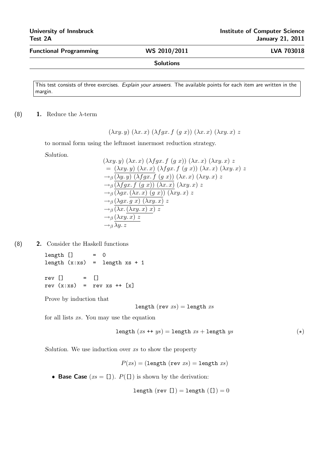Functional Programming WS 2010/2011 LVA 703018

## Solutions

This test consists of three exercises. Explain your answers. The available points for each item are written in the margin.

(8) **1.** Reduce the  $\lambda$ -term

$$
(\lambda xy. y) (\lambda x. x) (\lambda fgx. f(gx)) (\lambda x. x) (\lambda xy. x) z
$$

to normal form using the leftmost innermost reduction strategy.

Solution.

$$
(\lambda xy. y) (\lambda x. x) (\lambda fgx. f(g x)) (\lambda x. x) (\lambda xy. x) z
$$
  
=  $(\lambda xy. y) (\lambda x. x) (\lambda fgx. f(g x)) (\lambda x. x) (\lambda xy. x) z$   
 $\rightarrow_{\beta} (\lambda y. y) (\lambda fgx. f(g x)) (\lambda x. x) (\lambda xy. x) z$   
 $\rightarrow_{\beta} (\lambda fgx. f(g x)) (\lambda x. x) (\lambda xy. x) z$   
 $\rightarrow_{\beta} (\lambda gx. (\lambda x. x) (g x)) (\lambda xy. x) z$   
 $\rightarrow_{\beta} (\lambda gx. g x) (\lambda xy. x) z$   
 $\rightarrow_{\beta} (\lambda x. (\lambda xy. x) x) z$   
 $\rightarrow_{\beta} (\lambda xy. x) z$   
 $\rightarrow_{\beta} (\lambda xy. x) z$ 

(8) 2. Consider the Haskell functions

 $length$   $]$  = 0 length  $(x:xs)$  = length  $xs + 1$ 

rev [] = [] rev  $(x:xs)$  = rev  $xs$  ++  $[x]$ 

Prove by induction that

length (rev  $xs$ ) = length  $xs$ 

for all lists xs. You may use the equation

$$
length (xs ++ ys) = length xs + length ys
$$
 (\*)

Solution. We use induction over xs to show the property

$$
P(xs) = (\texttt{length}(rev\ xs) = \texttt{length}\ xs)
$$

• Base Case  $(xs = [1])$ .  $P([1])$  is shown by the derivation:

length  $(rev []) = length ([]) = 0$